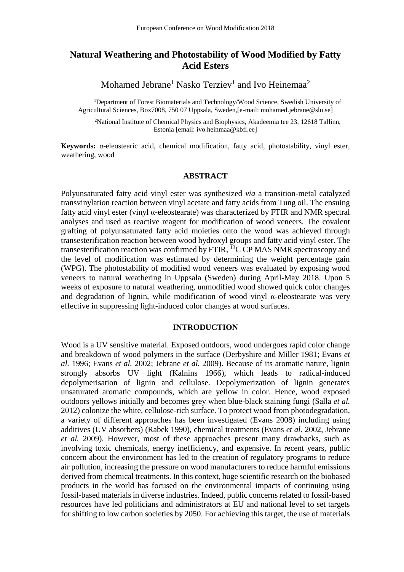# **Natural Weathering and Photostability of Wood Modified by Fatty Acid Esters**

Mohamed Jebrane<sup>1</sup> Nasko Terziev<sup>1</sup> and Ivo Heinemaa<sup>2</sup>

<sup>1</sup>Department of Forest Biomaterials and Technology/Wood Science, Swedish University of Agricultural Sciences, Box7008, 750 07 Uppsala, Sweden,[e-mail: mohamed.jebrane@slu.se]

<sup>2</sup>National Institute of Chemical Physics and Biophysics, Akadeemia tee 23, 12618 Tallinn, Estonia [email: ivo.heinmaa@kbfi.ee]

**Keywords:** α-eleostearic acid, chemical modification, fatty acid, photostability, vinyl ester, weathering, wood

#### **ABSTRACT**

Polyunsaturated fatty acid vinyl ester was synthesized *via* a transition-metal catalyzed transvinylation reaction between vinyl acetate and fatty acids from Tung oil. The ensuing fatty acid vinyl ester (vinyl α-eleostearate) was characterized by FTIR and NMR spectral analyses and used as reactive reagent for modification of wood veneers. The covalent grafting of polyunsaturated fatty acid moieties onto the wood was achieved through transesterification reaction between wood hydroxyl groups and fatty acid vinyl ester. The transesterification reaction was confirmed by FTIR, <sup>13</sup>C CP MAS NMR spectroscopy and the level of modification was estimated by determining the weight percentage gain (WPG). The photostability of modified wood veneers was evaluated by exposing wood veneers to natural weathering in Uppsala (Sweden) during April-May 2018. Upon 5 weeks of exposure to natural weathering, unmodified wood showed quick color changes and degradation of lignin, while modification of wood vinyl  $\alpha$ -eleostearate was very effective in suppressing light-induced color changes at wood surfaces.

#### **INTRODUCTION**

Wood is a UV sensitive material. Exposed outdoors, wood undergoes rapid color change and breakdown of wood polymers in the surface (Derbyshire and Miller 1981; Evans *et al.* 1996; Evans *et al.* 2002; Jebrane *et al.* 2009). Because of its aromatic nature, lignin strongly absorbs UV light (Kalnins 1966), which leads to radical-induced depolymerisation of lignin and cellulose. Depolymerization of lignin generates unsaturated aromatic compounds, which are yellow in color. Hence, wood exposed outdoors yellows initially and becomes grey when blue-black staining fungi (Salla *et al.* 2012) colonize the white, cellulose-rich surface. To protect wood from photodegradation, a variety of different approaches has been investigated (Evans 2008) including using additives (UV absorbers) (Rabek 1990), chemical treatments (Evans *et al.* 2002, Jebrane *et al.* 2009). However, most of these approaches present many drawbacks, such as involving toxic chemicals, energy inefficiency, and expensive. In recent years, public concern about the environment has led to the creation of regulatory programs to reduce air pollution, increasing the pressure on wood manufacturers to reduce harmful emissions derived from chemical treatments. In this context, huge scientific research on the biobased products in the world has focused on the environmental impacts of continuing using fossil-based materials in diverse industries. Indeed, public concerns related to fossil-based resources have led politicians and administrators at EU and national level to set targets for shifting to low carbon societies by 2050. For achieving this target, the use of materials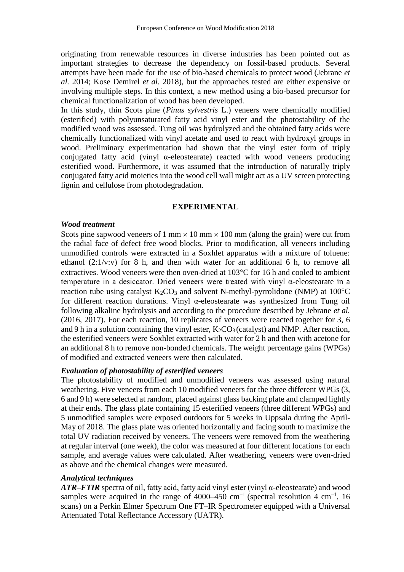originating from renewable resources in diverse industries has been pointed out as important strategies to decrease the dependency on fossil-based products. Several attempts have been made for the use of bio-based chemicals to protect wood (Jebrane *et al.* 2014; Kose Demirel *et al*. 2018), but the approaches tested are either expensive or involving multiple steps. In this context, a new method using a bio-based precursor for chemical functionalization of wood has been developed.

In this study, thin Scots pine (*Pinus sylvestris* L.) veneers were chemically modified (esterified) with polyunsaturated fatty acid vinyl ester and the photostability of the modified wood was assessed. Tung oil was hydrolyzed and the obtained fatty acids were chemically functionalized with vinyl acetate and used to react with hydroxyl groups in wood. Preliminary experimentation had shown that the vinyl ester form of triply conjugated fatty acid (vinyl α-eleostearate) reacted with wood veneers producing esterified wood. Furthermore, it was assumed that the introduction of naturally triply conjugated fatty acid moieties into the wood cell wall might act as a UV screen protecting lignin and cellulose from photodegradation.

#### **EXPERIMENTAL**

#### *Wood treatment*

Scots pine sapwood veneers of 1 mm  $\times$  10 mm  $\times$  100 mm (along the grain) were cut from the radial face of defect free wood blocks. Prior to modification, all veneers including unmodified controls were extracted in a Soxhlet apparatus with a mixture of toluene: ethanol  $(2:1/v:v)$  for 8 h, and then with water for an additional 6 h, to remove all extractives. Wood veneers were then oven-dried at  $103^{\circ}$ C for 16 h and cooled to ambient temperature in a desiccator. Dried veneers were treated with vinyl α-eleostearate in a reaction tube using catalyst  $K_2CO_3$  and solvent N-methyl-pyrrolidone (NMP) at 100<sup>o</sup>C for different reaction durations. Vinyl α-eleostearate was synthesized from Tung oil following alkaline hydrolysis and according to the procedure described by Jebrane *et al.* (2016, 2017). For each reaction, 10 replicates of veneers were reacted together for 3, 6 and 9 h in a solution containing the vinyl ester,  $K_2CO_3$  (catalyst) and NMP. After reaction, the esterified veneers were Soxhlet extracted with water for 2 h and then with acetone for an additional 8 h to remove non-bonded chemicals. The weight percentage gains (WPGs) of modified and extracted veneers were then calculated.

#### *Evaluation of photostability of esterified veneers*

The photostability of modified and unmodified veneers was assessed using natural weathering. Five veneers from each 10 modified veneers for the three different WPGs (3, 6 and 9 h) were selected at random, placed against glass backing plate and clamped lightly at their ends. The glass plate containing 15 esterified veneers (three different WPGs) and 5 unmodified samples were exposed outdoors for 5 weeks in Uppsala during the April-May of 2018. The glass plate was oriented horizontally and facing south to maximize the total UV radiation received by veneers. The veneers were removed from the weathering at regular interval (one week), the color was measured at four different locations for each sample, and average values were calculated. After weathering, veneers were oven-dried as above and the chemical changes were measured.

#### *Analytical techniques*

*ATR–FTIR* spectra of oil, fatty acid, fatty acid vinyl ester (vinyl α-eleostearate) and wood samples were acquired in the range of  $4000-450$  cm<sup>-1</sup> (spectral resolution  $4 \text{ cm}^{-1}$ , 16 scans) on a Perkin Elmer Spectrum One FT–IR Spectrometer equipped with a Universal Attenuated Total Reflectance Accessory (UATR).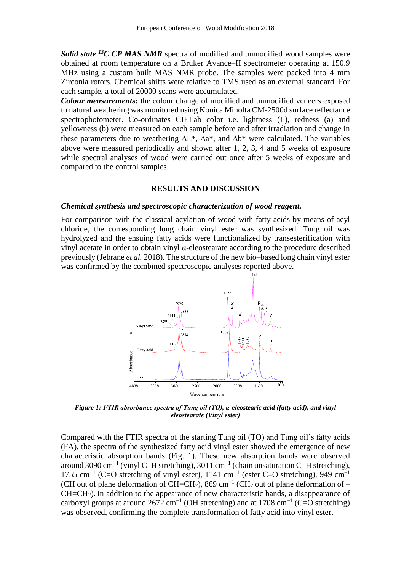*Solid state <sup>13</sup>C CP MAS NMR* spectra of modified and unmodified wood samples were obtained at room temperature on a Bruker Avance–II spectrometer operating at 150.9 MHz using a custom built MAS NMR probe. The samples were packed into 4 mm Zirconia rotors. Chemical shifts were relative to TMS used as an external standard. For each sample, a total of 20000 scans were accumulated.

*Colour measurements:* the colour change of modified and unmodified veneers exposed to natural weathering was monitored using Konica Minolta CM-2500d surface reflectance spectrophotometer. Co-ordinates CIELab color i.e. lightness (L), redness (a) and yellowness (b) were measured on each sample before and after irradiation and change in these parameters due to weathering  $\Delta L^*$ ,  $\Delta a^*$ , and  $\Delta b^*$  were calculated. The variables above were measured periodically and shown after 1, 2, 3, 4 and 5 weeks of exposure while spectral analyses of wood were carried out once after 5 weeks of exposure and compared to the control samples.

#### **RESULTS AND DISCUSSION**

#### *Chemical synthesis and spectroscopic characterization of wood reagent.*

For comparison with the classical acylation of wood with fatty acids by means of acyl chloride, the corresponding long chain vinyl ester was synthesized. Tung oil was hydrolyzed and the ensuing fatty acids were functionalized by transesterification with vinyl acetate in order to obtain vinyl *α*-eleostearate according to the procedure described previously (Jebrane *et al.* 2018). The structure of the new bio–based long chain vinyl ester was confirmed by the combined spectroscopic analyses reported above.



*Figure 1: FTIR absorbance spectra of Tung oil (TO), α-eleostearic acid (fatty acid), and vinyl eleostearate (Vinyl ester)*

Compared with the FTIR spectra of the starting Tung oil (TO) and Tung oil's fatty acids (FA), the spectra of the synthesized fatty acid vinyl ester showed the emergence of new characteristic absorption bands (Fig. 1). These new absorption bands were observed around 3090 cm<sup>-1</sup> (vinyl C–H stretching), 3011 cm<sup>-1</sup> (chain unsaturation C–H stretching), 1755 cm<sup>-1</sup> (C=O stretching of vinyl ester), 1141 cm<sup>-1</sup> (ester C–O stretching), 949 cm<sup>-1</sup> (CH out of plane deformation of CH=CH<sub>2</sub>), 869 cm<sup>-1</sup> (CH<sub>2</sub> out of plane deformation of – CH=CH2). In addition to the appearance of new characteristic bands, a disappearance of carboxyl groups at around 2672 cm<sup>-1</sup> (OH stretching) and at 1708 cm<sup>-1</sup> (C=O stretching) was observed, confirming the complete transformation of fatty acid into vinyl ester.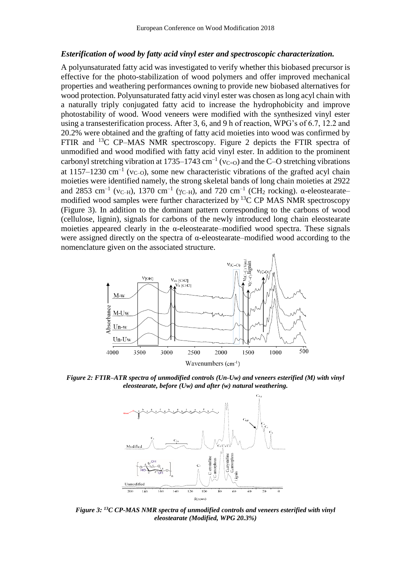#### *Esterification of wood by fatty acid vinyl ester and spectroscopic characterization.*

A polyunsaturated fatty acid was investigated to verify whether this biobased precursor is effective for the photo-stabilization of wood polymers and offer improved mechanical properties and weathering performances owning to provide new biobased alternatives for wood protection. Polyunsaturated fatty acid vinyl ester was chosen as long acyl chain with a naturally triply conjugated fatty acid to increase the hydrophobicity and improve photostability of wood. Wood veneers were modified with the synthesized vinyl ester using a transesterification process. After 3, 6, and 9 h of reaction, WPG's of 6.7, 12.2 and 20.2% were obtained and the grafting of fatty acid moieties into wood was confirmed by FTIR and <sup>13</sup>C CP–MAS NMR spectroscopy. Figure 2 depicts the FTIR spectra of unmodified and wood modified with fatty acid vinyl ester. In addition to the prominent carbonyl stretching vibration at 1735–1743  $cm^{-1}$  ( $v_{C=0}$ ) and the C–O stretching vibrations at 1157–1230 cm<sup>-1</sup> ( $v_{C-O}$ ), some new characteristic vibrations of the grafted acyl chain moieties were identified namely, the strong skeletal bands of long chain moieties at 2922 and 2853 cm<sup>-1</sup> ( $v_{\text{C-H}}$ ), 1370 cm<sup>-1</sup> ( $\gamma_{\text{C-H}}$ ), and 720 cm<sup>-1</sup> (CH<sub>2</sub> rocking).  $\alpha$ -eleostearatemodified wood samples were further characterized by  ${}^{13}C$  CP MAS NMR spectroscopy (Figure 3). In addition to the dominant pattern corresponding to the carbons of wood (cellulose, lignin), signals for carbons of the newly introduced long chain eleostearate moieties appeared clearly in the  $\alpha$ -eleostearate–modified wood spectra. These signals were assigned directly on the spectra of α-eleostearate–modified wood according to the nomenclature given on the associated structure.



*Figure 2: FTIR–ATR spectra of unmodified controls (Un-Uw) and veneers esterified (M) with vinyl eleostearate, before (Uw) and after (w) natural weathering.*



*Figure 3: <sup>13</sup>C CP-MAS NMR spectra of unmodified controls and veneers esterified with vinyl eleostearate (Modified, WPG 20.3%)*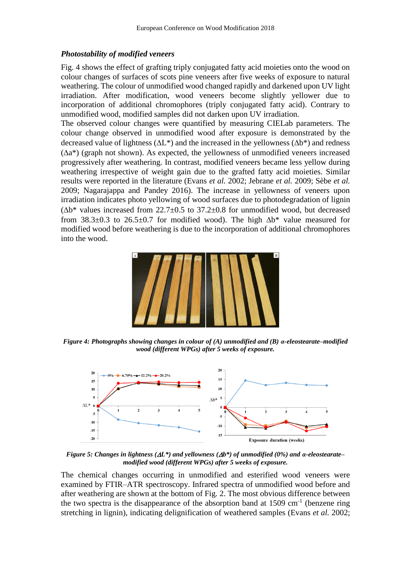## *Photostability of modified veneers*

Fig. 4 shows the effect of grafting triply conjugated fatty acid moieties onto the wood on colour changes of surfaces of scots pine veneers after five weeks of exposure to natural weathering. The colour of unmodified wood changed rapidly and darkened upon UV light irradiation. After modification, wood veneers become slightly yellower due to incorporation of additional chromophores (triply conjugated fatty acid). Contrary to unmodified wood, modified samples did not darken upon UV irradiation.

The observed colour changes were quantified by measuring CIELab parameters. The colour change observed in unmodified wood after exposure is demonstrated by the decreased value of lightness ( $\Delta L^*$ ) and the increased in the yellowness ( $\Delta b^*$ ) and redness  $(\Delta a^*)$  (graph not shown). As expected, the yellowness of unmodified veneers increased progressively after weathering. In contrast, modified veneers became less yellow during weathering irrespective of weight gain due to the grafted fatty acid moieties. Similar results were reported in the literature (Evans *et al.* 2002; Jebrane *et al.* 2009; Sèbe *et al.* 2009; Nagarajappa and Pandey 2016). The increase in yellowness of veneers upon irradiation indicates photo yellowing of wood surfaces due to photodegradation of lignin  $(\Delta b^*$  values increased from 22.7±0.5 to 37.2±0.8 for unmodified wood, but decreased from  $38.3\pm0.3$  to  $26.5\pm0.7$  for modified wood). The high  $\Delta b^*$  value measured for modified wood before weathering is due to the incorporation of additional chromophores into the wood.



*Figure 4: Photographs showing changes in colour of (A) unmodified and (B) α-eleostearate–modified wood (different WPGs) after 5 weeks of exposure.*



*Figure 5: Changes in lightness (L\*) and yellowness (b\*) of unmodified (0%) and α-eleostearate– modified wood (different WPGs) after 5 weeks of exposure.*

The chemical changes occurring in unmodified and esterified wood veneers were examined by FTIR–ATR spectroscopy. Infrared spectra of unmodified wood before and after weathering are shown at the bottom of Fig. 2. The most obvious difference between the two spectra is the disappearance of the absorption band at  $1509 \text{ cm}^{-1}$  (benzene ring stretching in lignin), indicating delignification of weathered samples (Evans *et al.* 2002;